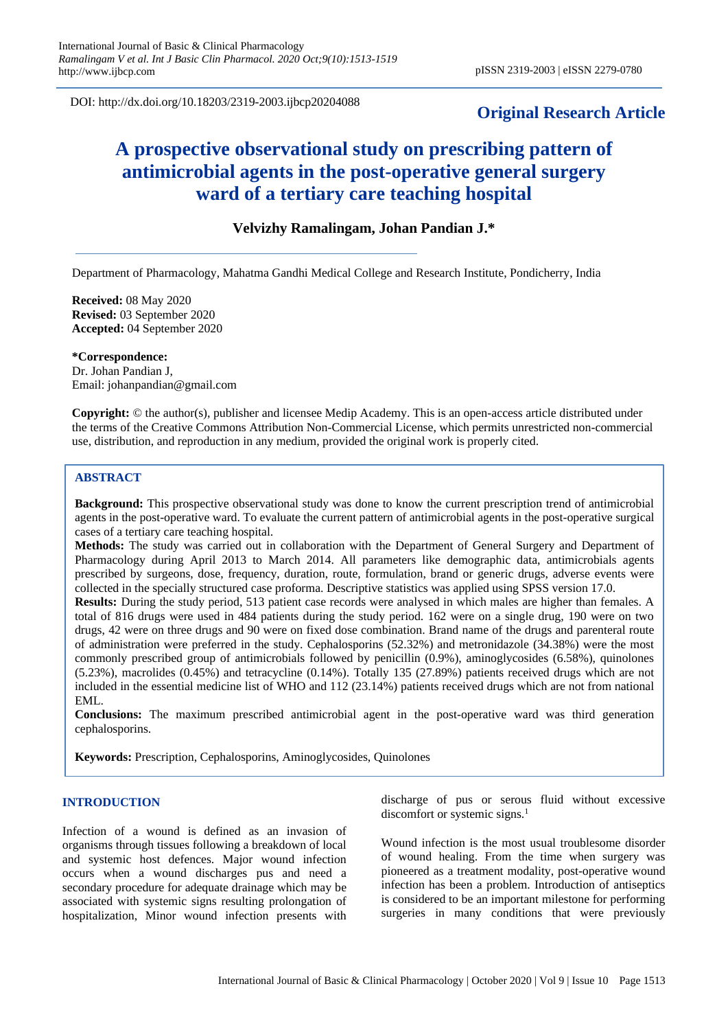DOI: http://dx.doi.org/10.18203/2319-2003.ijbcp20204088

# **Original Research Article**

# **A prospective observational study on prescribing pattern of antimicrobial agents in the post-operative general surgery ward of a tertiary care teaching hospital**

# **Velvizhy Ramalingam, Johan Pandian J.\***

Department of Pharmacology, Mahatma Gandhi Medical College and Research Institute, Pondicherry, India

**Received:** 08 May 2020 **Revised:** 03 September 2020 **Accepted:** 04 September 2020

**\*Correspondence:** Dr. Johan Pandian J, Email: johanpandian@gmail.com

**Copyright:** © the author(s), publisher and licensee Medip Academy. This is an open-access article distributed under the terms of the Creative Commons Attribution Non-Commercial License, which permits unrestricted non-commercial use, distribution, and reproduction in any medium, provided the original work is properly cited.

# **ABSTRACT**

**Background:** This prospective observational study was done to know the current prescription trend of antimicrobial agents in the post-operative ward. To evaluate the current pattern of antimicrobial agents in the post-operative surgical cases of a tertiary care teaching hospital.

**Methods:** The study was carried out in collaboration with the Department of General Surgery and Department of Pharmacology during April 2013 to March 2014. All parameters like demographic data, antimicrobials agents prescribed by surgeons, dose, frequency, duration, route, formulation, brand or generic drugs, adverse events were collected in the specially structured case proforma. Descriptive statistics was applied using SPSS version 17.0.

**Results:** During the study period, 513 patient case records were analysed in which males are higher than females. A total of 816 drugs were used in 484 patients during the study period. 162 were on a single drug, 190 were on two drugs, 42 were on three drugs and 90 were on fixed dose combination. Brand name of the drugs and parenteral route of administration were preferred in the study. Cephalosporins (52.32%) and metronidazole (34.38%) were the most commonly prescribed group of antimicrobials followed by penicillin (0.9%), aminoglycosides (6.58%), quinolones (5.23%), macrolides (0.45%) and tetracycline (0.14%). Totally 135 (27.89%) patients received drugs which are not included in the essential medicine list of WHO and 112 (23.14%) patients received drugs which are not from national EML.

**Conclusions:** The maximum prescribed antimicrobial agent in the post-operative ward was third generation cephalosporins.

**Keywords:** Prescription, Cephalosporins, Aminoglycosides, Quinolones

# **INTRODUCTION**

Infection of a wound is defined as an invasion of organisms through tissues following a breakdown of local and systemic host defences. Major wound infection occurs when a wound discharges pus and need a secondary procedure for adequate drainage which may be associated with systemic signs resulting prolongation of hospitalization, Minor wound infection presents with discharge of pus or serous fluid without excessive discomfort or systemic signs.<sup>1</sup>

Wound infection is the most usual troublesome disorder of wound healing. From the time when surgery was pioneered as a treatment modality, post-operative wound infection has been a problem. Introduction of antiseptics is considered to be an important milestone for performing surgeries in many conditions that were previously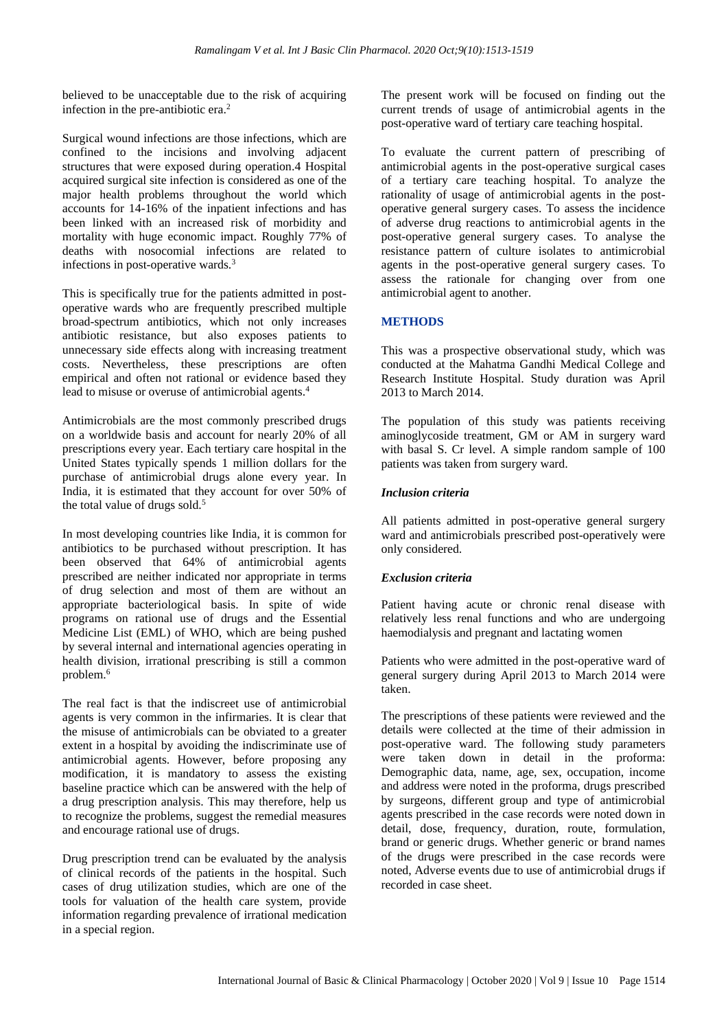believed to be unacceptable due to the risk of acquiring infection in the pre-antibiotic era. $<sup>2</sup>$ </sup>

Surgical wound infections are those infections, which are confined to the incisions and involving adjacent structures that were exposed during operation.4 Hospital acquired surgical site infection is considered as one of the major health problems throughout the world which accounts for 14-16% of the inpatient infections and has been linked with an increased risk of morbidity and mortality with huge economic impact. Roughly 77% of deaths with nosocomial infections are related to infections in post-operative wards.<sup>3</sup>

This is specifically true for the patients admitted in postoperative wards who are frequently prescribed multiple broad-spectrum antibiotics, which not only increases antibiotic resistance, but also exposes patients to unnecessary side effects along with increasing treatment costs. Nevertheless, these prescriptions are often empirical and often not rational or evidence based they lead to misuse or overuse of antimicrobial agents.<sup>4</sup>

Antimicrobials are the most commonly prescribed drugs on a worldwide basis and account for nearly 20% of all prescriptions every year. Each tertiary care hospital in the United States typically spends 1 million dollars for the purchase of antimicrobial drugs alone every year. In India, it is estimated that they account for over 50% of the total value of drugs sold. $5$ 

In most developing countries like India, it is common for antibiotics to be purchased without prescription. It has been observed that 64% of antimicrobial agents prescribed are neither indicated nor appropriate in terms of drug selection and most of them are without an appropriate bacteriological basis. In spite of wide programs on rational use of drugs and the Essential Medicine List (EML) of WHO, which are being pushed by several internal and international agencies operating in health division, irrational prescribing is still a common problem.<sup>6</sup>

The real fact is that the indiscreet use of antimicrobial agents is very common in the infirmaries. It is clear that the misuse of antimicrobials can be obviated to a greater extent in a hospital by avoiding the indiscriminate use of antimicrobial agents. However, before proposing any modification, it is mandatory to assess the existing baseline practice which can be answered with the help of a drug prescription analysis. This may therefore, help us to recognize the problems, suggest the remedial measures and encourage rational use of drugs.

Drug prescription trend can be evaluated by the analysis of clinical records of the patients in the hospital. Such cases of drug utilization studies, which are one of the tools for valuation of the health care system, provide information regarding prevalence of irrational medication in a special region.

The present work will be focused on finding out the current trends of usage of antimicrobial agents in the post-operative ward of tertiary care teaching hospital.

To evaluate the current pattern of prescribing of antimicrobial agents in the post-operative surgical cases of a tertiary care teaching hospital. To analyze the rationality of usage of antimicrobial agents in the postoperative general surgery cases. To assess the incidence of adverse drug reactions to antimicrobial agents in the post-operative general surgery cases. To analyse the resistance pattern of culture isolates to antimicrobial agents in the post-operative general surgery cases. To assess the rationale for changing over from one antimicrobial agent to another.

# **METHODS**

This was a prospective observational study, which was conducted at the Mahatma Gandhi Medical College and Research Institute Hospital. Study duration was April 2013 to March 2014.

The population of this study was patients receiving aminoglycoside treatment, GM or AM in surgery ward with basal S. Cr level. A simple random sample of 100 patients was taken from surgery ward.

# *Inclusion criteria*

All patients admitted in post-operative general surgery ward and antimicrobials prescribed post-operatively were only considered.

# *Exclusion criteria*

Patient having acute or chronic renal disease with relatively less renal functions and who are undergoing haemodialysis and pregnant and lactating women

Patients who were admitted in the post-operative ward of general surgery during April 2013 to March 2014 were taken.

The prescriptions of these patients were reviewed and the details were collected at the time of their admission in post-operative ward. The following study parameters were taken down in detail in the proforma: Demographic data, name, age, sex, occupation, income and address were noted in the proforma, drugs prescribed by surgeons, different group and type of antimicrobial agents prescribed in the case records were noted down in detail, dose, frequency, duration, route, formulation, brand or generic drugs. Whether generic or brand names of the drugs were prescribed in the case records were noted, Adverse events due to use of antimicrobial drugs if recorded in case sheet.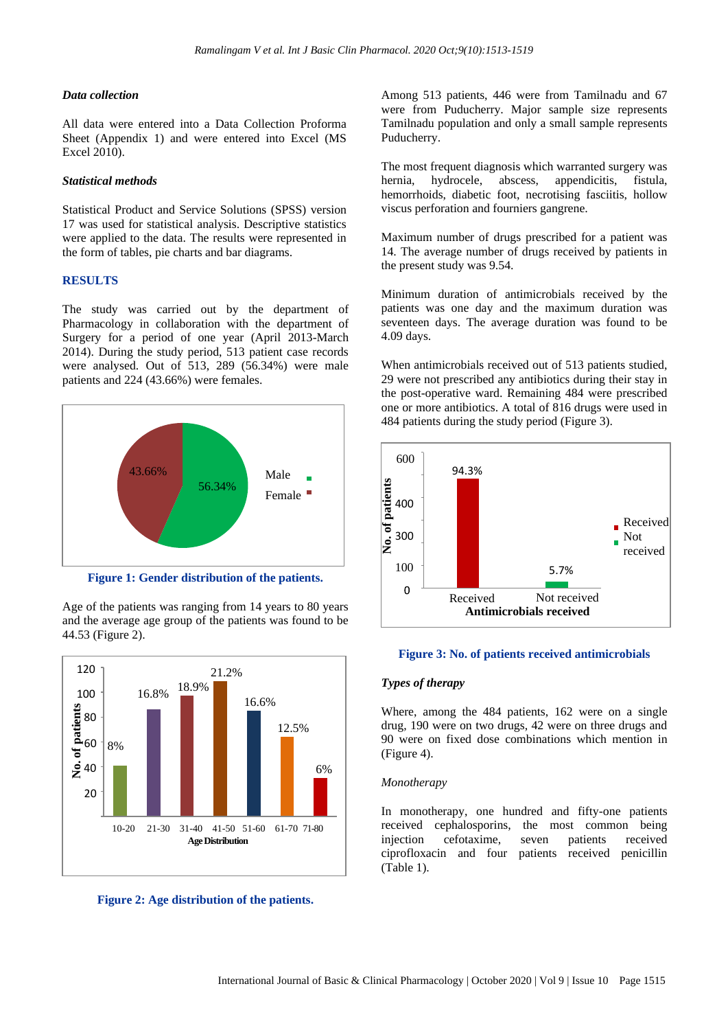#### *Data collection*

All data were entered into a Data Collection Proforma Sheet (Appendix 1) and were entered into Excel (MS Excel 2010).

#### *Statistical methods*

Statistical Product and Service Solutions (SPSS) version 17 was used for statistical analysis. Descriptive statistics were applied to the data. The results were represented in the form of tables, pie charts and bar diagrams.

# **RESULTS**

The study was carried out by the department of Pharmacology in collaboration with the department of Surgery for a period of one year (April 2013-March 2014). During the study period, 513 patient case records were analysed. Out of 513, 289 (56.34%) were male patients and 224 (43.66%) were females.



**Figure 1: Gender distribution of the patients.**

Age of the patients was ranging from 14 years to 80 years and the average age group of the patients was found to be 44.53 (Figure 2).



**Figure 2: Age distribution of the patients.**

Among 513 patients, 446 were from Tamilnadu and 67 were from Puducherry. Major sample size represents Tamilnadu population and only a small sample represents Puducherry.

The most frequent diagnosis which warranted surgery was hernia, hydrocele, abscess, appendicitis, fistula, hemorrhoids, diabetic foot, necrotising fasciitis, hollow viscus perforation and fourniers gangrene.

Maximum number of drugs prescribed for a patient was 14. The average number of drugs received by patients in the present study was 9.54.

Minimum duration of antimicrobials received by the patients was one day and the maximum duration was seventeen days. The average duration was found to be 4.09 days.

When antimicrobials received out of 513 patients studied, 29 were not prescribed any antibiotics during their stay in the post-operative ward. Remaining 484 were prescribed one or more antibiotics. A total of 816 drugs were used in 484 patients during the study period (Figure 3).



#### **Figure 3: No. of patients received antimicrobials**

# *Types of therapy*

Where, among the 484 patients, 162 were on a single drug, 190 were on two drugs, 42 were on three drugs and 90 were on fixed dose combinations which mention in (Figure 4).

#### *Monotherapy*

In monotherapy, one hundred and fifty-one patients received cephalosporins, the most common being injection cefotaxime, seven patients received ciprofloxacin and four patients received penicillin (Table 1).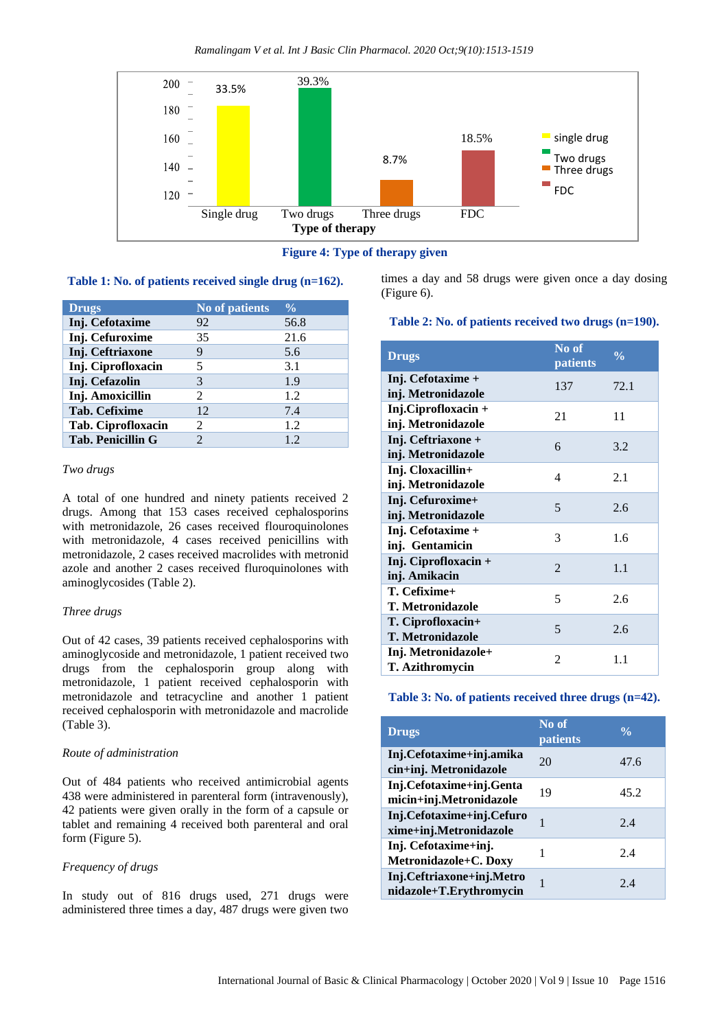

**Figure 4: Type of therapy given**

# **Table 1: No. of patients received single drug (n=162).**

| <b>Drugs</b>             | No of patients | $\frac{0}{0}$ |
|--------------------------|----------------|---------------|
| Inj. Cefotaxime          | 92             | 56.8          |
| Inj. Cefuroxime          | 35             | 21.6          |
| Inj. Ceftriaxone         | 9              | 5.6           |
| Inj. Ciprofloxacin       | 5              | 3.1           |
| Inj. Cefazolin           | 3              | 1.9           |
| Inj. Amoxicillin         | 2              | 1.2           |
| Tab. Cefixime            | 12             | 7.4           |
| Tab. Ciprofloxacin       | $\mathcal{L}$  | 1.2           |
| <b>Tab. Penicillin G</b> | 2              | 1.2           |

#### *Two drugs*

A total of one hundred and ninety patients received 2 drugs. Among that 153 cases received cephalosporins with metronidazole, 26 cases received flouroquinolones with metronidazole, 4 cases received penicillins with metronidazole, 2 cases received macrolides with metronid azole and another 2 cases received fluroquinolones with aminoglycosides (Table 2).

# *Three drugs*

Out of 42 cases, 39 patients received cephalosporins with aminoglycoside and metronidazole, 1 patient received two drugs from the cephalosporin group along with metronidazole, 1 patient received cephalosporin with metronidazole and tetracycline and another 1 patient received cephalosporin with metronidazole and macrolide (Table 3).

# *Route of administration*

Out of 484 patients who received antimicrobial agents 438 were administered in parenteral form (intravenously), 42 patients were given orally in the form of a capsule or tablet and remaining 4 received both parenteral and oral form (Figure 5).

# *Frequency of drugs*

In study out of 816 drugs used, 271 drugs were administered three times a day, 487 drugs were given two times a day and 58 drugs were given once a day dosing (Figure 6).

#### **Table 2: No. of patients received two drugs (n=190).**

| <b>Drugs</b>                                 | No of<br>patients | $\frac{0}{0}$ |
|----------------------------------------------|-------------------|---------------|
| Inj. Cefotaxime +<br>inj. Metronidazole      | 137               | 72.1          |
| Inj.Ciprofloxacin +<br>inj. Metronidazole    | 21                | 11            |
| Inj. Ceftriaxone +<br>inj. Metronidazole     | 6                 | 3.2           |
| Inj. Cloxacillin+<br>inj. Metronidazole      | 4                 | 2.1           |
| Inj. Cefuroxime+<br>inj. Metronidazole       | 5                 | 2.6           |
| Inj. Cefotaxime +<br>inj. Gentamicin         | 3                 | 1.6           |
| Inj. Ciprofloxacin +<br>inj. Amikacin        | $\overline{2}$    | 1.1           |
| T. Cefixime+<br><b>T. Metronidazole</b>      | 5                 | 2.6           |
| T. Ciprofloxacin+<br><b>T. Metronidazole</b> | 5                 | 2.6           |
| Inj. Metronidazole+<br>T. Azithromycin       | $\overline{2}$    | 1.1           |

#### **Table 3: No. of patients received three drugs (n=42).**

| <b>Drugs</b>                                         | No of<br>patients | $\frac{0}{0}$ |
|------------------------------------------------------|-------------------|---------------|
| Inj.Cefotaxime+inj.amika<br>cin+inj. Metronidazole   | 20                | 47.6          |
| Inj.Cefotaxime+inj.Genta<br>micin+inj.Metronidazole  | 19                | 45.2          |
| Inj.Cefotaxime+inj.Cefuro<br>xime+inj.Metronidazole  | 1                 | 2.4           |
| Inj. Cefotaxime+inj.<br>Metronidazole+C. Doxy        |                   | 2.4           |
| Inj.Ceftriaxone+inj.Metro<br>nidazole+T.Erythromycin | 1                 | 2.4           |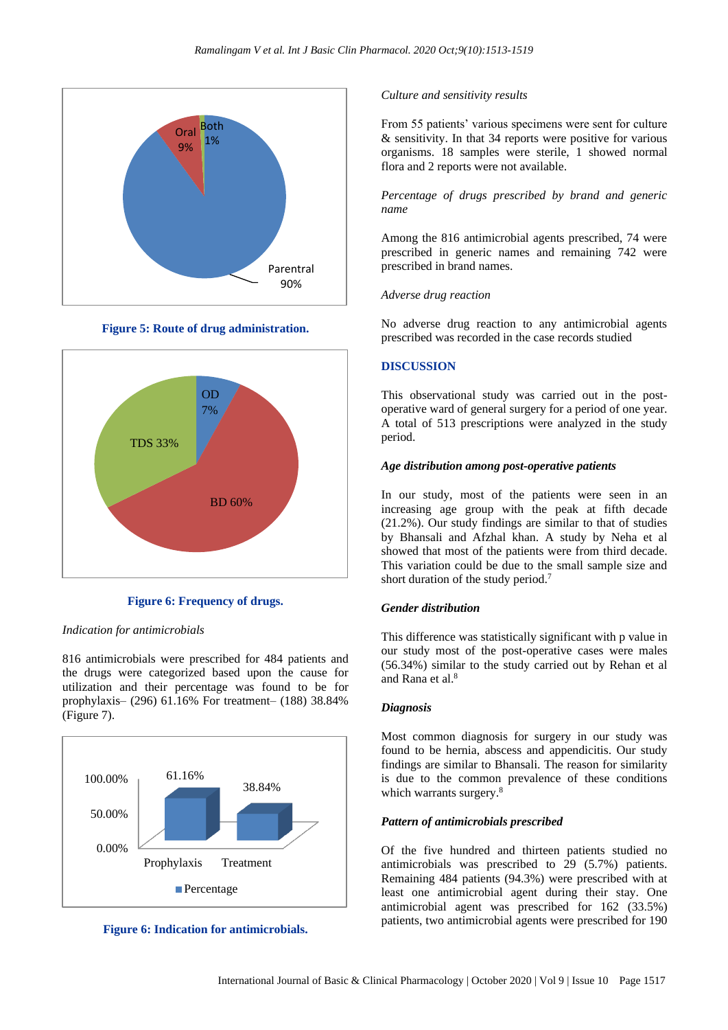

**Figure 5: Route of drug administration.**



**Figure 6: Frequency of drugs.**

#### *Indication for antimicrobials*

816 antimicrobials were prescribed for 484 patients and the drugs were categorized based upon the cause for utilization and their percentage was found to be for prophylaxis– (296) 61.16% For treatment– (188) 38.84% (Figure 7).



**Figure 6: Indication for antimicrobials.**

#### *Culture and sensitivity results*

From 55 patients' various specimens were sent for culture & sensitivity. In that 34 reports were positive for various organisms. 18 samples were sterile, 1 showed normal flora and 2 reports were not available.

*Percentage of drugs prescribed by brand and generic name*

Among the 816 antimicrobial agents prescribed, 74 were prescribed in generic names and remaining 742 were prescribed in brand names.

#### *Adverse drug reaction*

No adverse drug reaction to any antimicrobial agents prescribed was recorded in the case records studied

#### **DISCUSSION**

This observational study was carried out in the postoperative ward of general surgery for a period of one year. A total of 513 prescriptions were analyzed in the study period.

## *Age distribution among post-operative patients*

In our study, most of the patients were seen in an increasing age group with the peak at fifth decade (21.2%). Our study findings are similar to that of studies by Bhansali and Afzhal khan. A study by Neha et al showed that most of the patients were from third decade. This variation could be due to the small sample size and short duration of the study period.<sup>7</sup>

# *Gender distribution*

This difference was statistically significant with p value in our study most of the post-operative cases were males (56.34%) similar to the study carried out by Rehan et al and Rana et al.<sup>8</sup>

#### *Diagnosis*

Most common diagnosis for surgery in our study was found to be hernia, abscess and appendicitis. Our study findings are similar to Bhansali. The reason for similarity is due to the common prevalence of these conditions which warrants surgery.<sup>8</sup>

# *Pattern of antimicrobials prescribed*

Of the five hundred and thirteen patients studied no antimicrobials was prescribed to 29 (5.7%) patients. Remaining 484 patients (94.3%) were prescribed with at least one antimicrobial agent during their stay. One antimicrobial agent was prescribed for 162 (33.5%) patients, two antimicrobial agents were prescribed for 190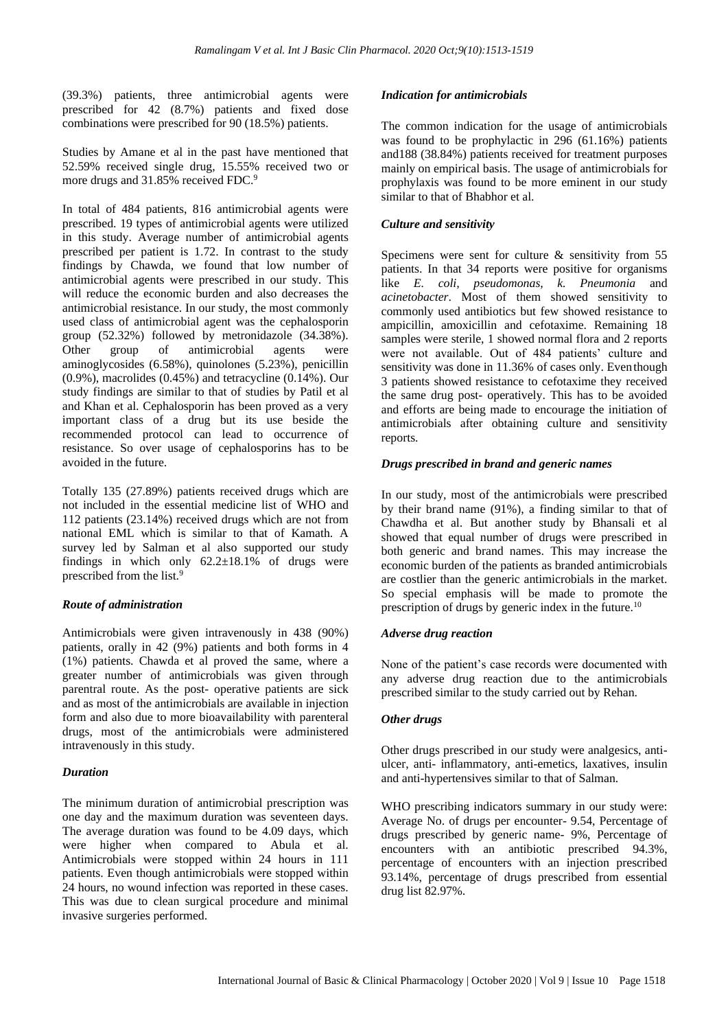(39.3%) patients, three antimicrobial agents were prescribed for 42 (8.7%) patients and fixed dose combinations were prescribed for 90 (18.5%) patients.

Studies by Amane et al in the past have mentioned that 52.59% received single drug, 15.55% received two or more drugs and 31.85% received FDC.<sup>9</sup>

In total of 484 patients, 816 antimicrobial agents were prescribed. 19 types of antimicrobial agents were utilized in this study. Average number of antimicrobial agents prescribed per patient is 1.72. In contrast to the study findings by Chawda, we found that low number of antimicrobial agents were prescribed in our study. This will reduce the economic burden and also decreases the antimicrobial resistance. In our study, the most commonly used class of antimicrobial agent was the cephalosporin group (52.32%) followed by metronidazole (34.38%). Other group of antimicrobial agents were aminoglycosides (6.58%), quinolones (5.23%), penicillin (0.9%), macrolides (0.45%) and tetracycline (0.14%). Our study findings are similar to that of studies by Patil et al and Khan et al. Cephalosporin has been proved as a very important class of a drug but its use beside the recommended protocol can lead to occurrence of resistance. So over usage of cephalosporins has to be avoided in the future.

Totally 135 (27.89%) patients received drugs which are not included in the essential medicine list of WHO and 112 patients (23.14%) received drugs which are not from national EML which is similar to that of Kamath. A survey led by Salman et al also supported our study findings in which only 62.2±18.1% of drugs were prescribed from the list.<sup>9</sup>

# *Route of administration*

Antimicrobials were given intravenously in 438 (90%) patients, orally in 42 (9%) patients and both forms in 4 (1%) patients. Chawda et al proved the same, where a greater number of antimicrobials was given through parentral route. As the post- operative patients are sick and as most of the antimicrobials are available in injection form and also due to more bioavailability with parenteral drugs, most of the antimicrobials were administered intravenously in this study.

## *Duration*

The minimum duration of antimicrobial prescription was one day and the maximum duration was seventeen days. The average duration was found to be 4.09 days, which were higher when compared to Abula et al. Antimicrobials were stopped within 24 hours in 111 patients. Even though antimicrobials were stopped within 24 hours, no wound infection was reported in these cases. This was due to clean surgical procedure and minimal invasive surgeries performed.

# *Indication for antimicrobials*

The common indication for the usage of antimicrobials was found to be prophylactic in 296 (61.16%) patients and188 (38.84%) patients received for treatment purposes mainly on empirical basis. The usage of antimicrobials for prophylaxis was found to be more eminent in our study similar to that of Bhabhor et al.

# *Culture and sensitivity*

Specimens were sent for culture & sensitivity from 55 patients. In that 34 reports were positive for organisms like *E. coli, pseudomonas, k. Pneumonia* and *acinetobacter*. Most of them showed sensitivity to commonly used antibiotics but few showed resistance to ampicillin, amoxicillin and cefotaxime. Remaining 18 samples were sterile, 1 showed normal flora and 2 reports were not available. Out of 484 patients' culture and sensitivity was done in 11.36% of cases only. Eventhough 3 patients showed resistance to cefotaxime they received the same drug post- operatively. This has to be avoided and efforts are being made to encourage the initiation of antimicrobials after obtaining culture and sensitivity reports.

# *Drugs prescribed in brand and generic names*

In our study, most of the antimicrobials were prescribed by their brand name (91%), a finding similar to that of Chawdha et al. But another study by Bhansali et al showed that equal number of drugs were prescribed in both generic and brand names. This may increase the economic burden of the patients as branded antimicrobials are costlier than the generic antimicrobials in the market. So special emphasis will be made to promote the prescription of drugs by generic index in the future.<sup>10</sup>

## *Adverse drug reaction*

None of the patient's case records were documented with any adverse drug reaction due to the antimicrobials prescribed similar to the study carried out by Rehan.

## *Other drugs*

Other drugs prescribed in our study were analgesics, antiulcer, anti- inflammatory, anti-emetics, laxatives, insulin and anti-hypertensives similar to that of Salman.

WHO prescribing indicators summary in our study were: Average No. of drugs per encounter- 9.54, Percentage of drugs prescribed by generic name- 9%, Percentage of encounters with an antibiotic prescribed 94.3%, percentage of encounters with an injection prescribed 93.14%, percentage of drugs prescribed from essential drug list 82.97%.